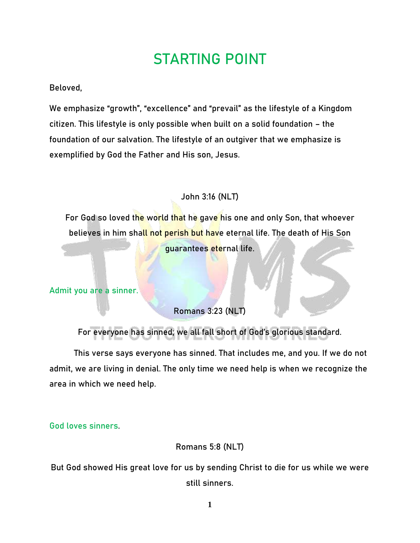# **STARTING POINT**

### Beloved,

We emphasize "growth", "excellence" and "prevail" as the lifestyle of a Kingdom citizen. This lifestyle is only possible when built on a solid foundation – the foundation of our salvation. The lifestyle of an outgiver that we emphasize is exemplified by God the Father and His son, Jesus.

## **John 3:16 (NLT)**

For God so loved the world that he gave his one and only Son, that whoever believes in him shall not perish but have eternal life. The death of His Son guarantees eternal life.

**Admit you are a sinner.** 

**Romans 3:23 (NLT)**

For everyone has sinned; we all fall short of God's glorious standard.

This verse says everyone has sinned. That includes me, and you. If we do not admit, we are living in denial. The only time we need help is when we recognize the area in which we need help.

**God loves sinners**.

**Romans 5:8 (NLT)**

But God showed His great love for us by sending Christ to die for us while we were still sinners.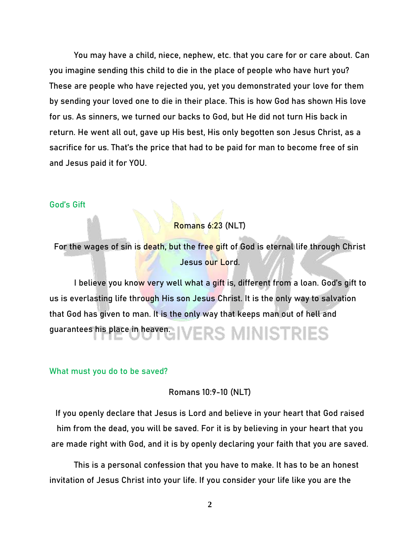You may have a child, niece, nephew, etc. that you care for or care about. Can you imagine sending this child to die in the place of people who have hurt you? These are people who have rejected you, yet you demonstrated your love for them by sending your loved one to die in their place. This is how God has shown His love for us. As sinners, we turned our backs to God, but He did not turn His back in return. He went all out, gave up His best, His only begotten son Jesus Christ, as a sacrifice for us. That's the price that had to be paid for man to become free of sin and Jesus paid it for YOU.

#### **God's Gift**

**Romans 6:23 (NLT)**

For the wages of sin is death, but the free gift of God is eternal life through Christ Jesus our Lord.

I believe you know very well what a gift is, different from a loan. God's gift to us is everlasting life through His son Jesus Christ. It is the only way to salvation that God has given to man. It is the only way that keeps man out of hell and guarantees his place in heaven. **VERS MINISTRIES** 

#### **What must you do to be saved?**

**Romans 10:9-10 (NLT)**

If you openly declare that Jesus is Lord and believe in your heart that God raised him from the dead, you will be saved. For it is by believing in your heart that you are made right with God, and it is by openly declaring your faith that you are saved.

This is a personal confession that you have to make. It has to be an honest invitation of Jesus Christ into your life. If you consider your life like you are the